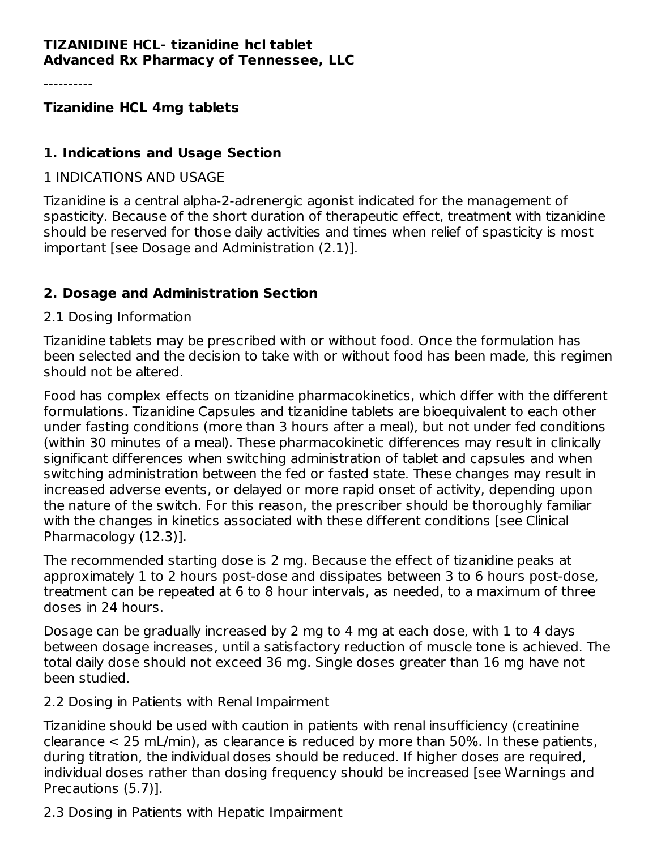#### **TIZANIDINE HCL- tizanidine hcl tablet Advanced Rx Pharmacy of Tennessee, LLC**

----------

**Tizanidine HCL 4mg tablets**

#### **1. Indications and Usage Section**

1 INDICATIONS AND USAGE

Tizanidine is a central alpha-2-adrenergic agonist indicated for the management of spasticity. Because of the short duration of therapeutic effect, treatment with tizanidine should be reserved for those daily activities and times when relief of spasticity is most important [see Dosage and Administration (2.1)].

## **2. Dosage and Administration Section**

#### 2.1 Dosing Information

Tizanidine tablets may be prescribed with or without food. Once the formulation has been selected and the decision to take with or without food has been made, this regimen should not be altered.

Food has complex effects on tizanidine pharmacokinetics, which differ with the different formulations. Tizanidine Capsules and tizanidine tablets are bioequivalent to each other under fasting conditions (more than 3 hours after a meal), but not under fed conditions (within 30 minutes of a meal). These pharmacokinetic differences may result in clinically significant differences when switching administration of tablet and capsules and when switching administration between the fed or fasted state. These changes may result in increased adverse events, or delayed or more rapid onset of activity, depending upon the nature of the switch. For this reason, the prescriber should be thoroughly familiar with the changes in kinetics associated with these different conditions [see Clinical Pharmacology (12.3)].

The recommended starting dose is 2 mg. Because the effect of tizanidine peaks at approximately 1 to 2 hours post-dose and dissipates between 3 to 6 hours post-dose, treatment can be repeated at 6 to 8 hour intervals, as needed, to a maximum of three doses in 24 hours.

Dosage can be gradually increased by 2 mg to 4 mg at each dose, with 1 to 4 days between dosage increases, until a satisfactory reduction of muscle tone is achieved. The total daily dose should not exceed 36 mg. Single doses greater than 16 mg have not been studied.

2.2 Dosing in Patients with Renal Impairment

Tizanidine should be used with caution in patients with renal insufficiency (creatinine clearance < 25 mL/min), as clearance is reduced by more than 50%. In these patients, during titration, the individual doses should be reduced. If higher doses are required, individual doses rather than dosing frequency should be increased [see Warnings and Precautions (5.7)].

2.3 Dosing in Patients with Hepatic Impairment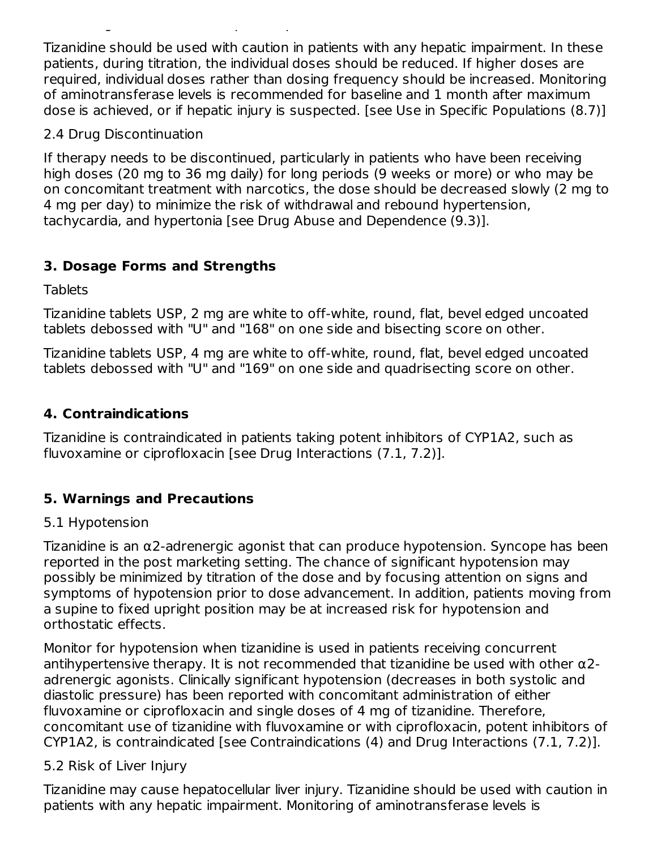Tizanidine should be used with caution in patients with any hepatic impairment. In these patients, during titration, the individual doses should be reduced. If higher doses are required, individual doses rather than dosing frequency should be increased. Monitoring of aminotransferase levels is recommended for baseline and 1 month after maximum dose is achieved, or if hepatic injury is suspected. [see Use in Specific Populations (8.7)]

2.4 Drug Discontinuation

If therapy needs to be discontinued, particularly in patients who have been receiving high doses (20 mg to 36 mg daily) for long periods (9 weeks or more) or who may be on concomitant treatment with narcotics, the dose should be decreased slowly (2 mg to 4 mg per day) to minimize the risk of withdrawal and rebound hypertension, tachycardia, and hypertonia [see Drug Abuse and Dependence (9.3)].

# **3. Dosage Forms and Strengths**

2.3 Dosing in Patients with Hepatic Impairment

**Tablets** 

Tizanidine tablets USP, 2 mg are white to off-white, round, flat, bevel edged uncoated tablets debossed with "U" and "168" on one side and bisecting score on other.

Tizanidine tablets USP, 4 mg are white to off-white, round, flat, bevel edged uncoated tablets debossed with "U" and "169" on one side and quadrisecting score on other.

# **4. Contraindications**

Tizanidine is contraindicated in patients taking potent inhibitors of CYP1A2, such as fluvoxamine or ciprofloxacin [see Drug Interactions (7.1, 7.2)].

# **5. Warnings and Precautions**

# 5.1 Hypotension

Tizanidine is an α2-adrenergic agonist that can produce hypotension. Syncope has been reported in the post marketing setting. The chance of significant hypotension may possibly be minimized by titration of the dose and by focusing attention on signs and symptoms of hypotension prior to dose advancement. In addition, patients moving from a supine to fixed upright position may be at increased risk for hypotension and orthostatic effects.

Monitor for hypotension when tizanidine is used in patients receiving concurrent antihypertensive therapy. It is not recommended that tizanidine be used with other  $\alpha$ 2adrenergic agonists. Clinically significant hypotension (decreases in both systolic and diastolic pressure) has been reported with concomitant administration of either fluvoxamine or ciprofloxacin and single doses of 4 mg of tizanidine. Therefore, concomitant use of tizanidine with fluvoxamine or with ciprofloxacin, potent inhibitors of CYP1A2, is contraindicated [see Contraindications (4) and Drug Interactions (7.1, 7.2)].

## 5.2 Risk of Liver Injury

Tizanidine may cause hepatocellular liver injury. Tizanidine should be used with caution in patients with any hepatic impairment. Monitoring of aminotransferase levels is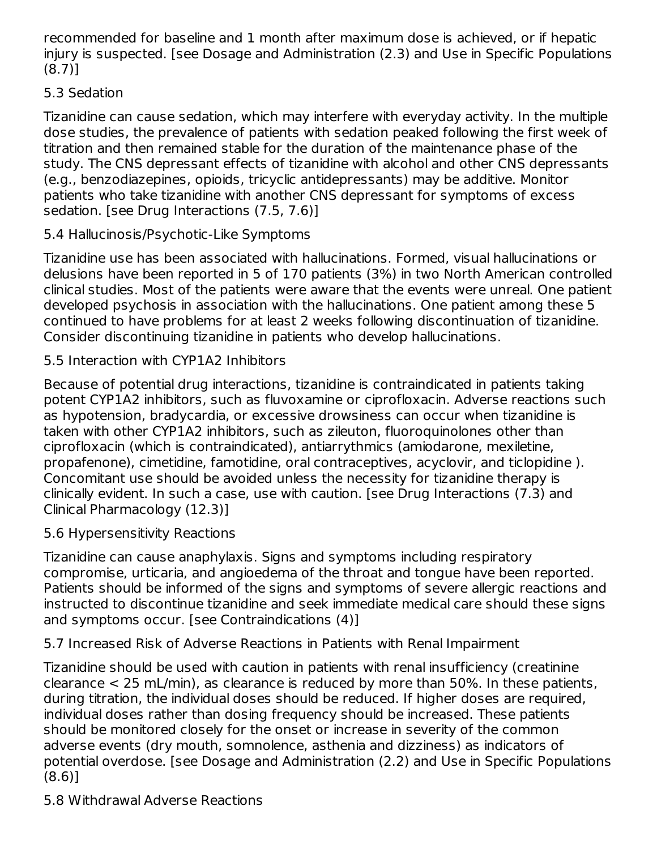recommended for baseline and 1 month after maximum dose is achieved, or if hepatic injury is suspected. [see Dosage and Administration (2.3) and Use in Specific Populations (8.7)]

# 5.3 Sedation

Tizanidine can cause sedation, which may interfere with everyday activity. In the multiple dose studies, the prevalence of patients with sedation peaked following the first week of titration and then remained stable for the duration of the maintenance phase of the study. The CNS depressant effects of tizanidine with alcohol and other CNS depressants (e.g., benzodiazepines, opioids, tricyclic antidepressants) may be additive. Monitor patients who take tizanidine with another CNS depressant for symptoms of excess sedation. [see Drug Interactions (7.5, 7.6)]

# 5.4 Hallucinosis/Psychotic-Like Symptoms

Tizanidine use has been associated with hallucinations. Formed, visual hallucinations or delusions have been reported in 5 of 170 patients (3%) in two North American controlled clinical studies. Most of the patients were aware that the events were unreal. One patient developed psychosis in association with the hallucinations. One patient among these 5 continued to have problems for at least 2 weeks following discontinuation of tizanidine. Consider discontinuing tizanidine in patients who develop hallucinations.

## 5.5 Interaction with CYP1A2 Inhibitors

Because of potential drug interactions, tizanidine is contraindicated in patients taking potent CYP1A2 inhibitors, such as fluvoxamine or ciprofloxacin. Adverse reactions such as hypotension, bradycardia, or excessive drowsiness can occur when tizanidine is taken with other CYP1A2 inhibitors, such as zileuton, fluoroquinolones other than ciprofloxacin (which is contraindicated), antiarrythmics (amiodarone, mexiletine, propafenone), cimetidine, famotidine, oral contraceptives, acyclovir, and ticlopidine ). Concomitant use should be avoided unless the necessity for tizanidine therapy is clinically evident. In such a case, use with caution. [see Drug Interactions (7.3) and Clinical Pharmacology (12.3)]

## 5.6 Hypersensitivity Reactions

Tizanidine can cause anaphylaxis. Signs and symptoms including respiratory compromise, urticaria, and angioedema of the throat and tongue have been reported. Patients should be informed of the signs and symptoms of severe allergic reactions and instructed to discontinue tizanidine and seek immediate medical care should these signs and symptoms occur. [see Contraindications (4)]

#### 5.7 Increased Risk of Adverse Reactions in Patients with Renal Impairment

Tizanidine should be used with caution in patients with renal insufficiency (creatinine clearance < 25 mL/min), as clearance is reduced by more than 50%. In these patients, during titration, the individual doses should be reduced. If higher doses are required, individual doses rather than dosing frequency should be increased. These patients should be monitored closely for the onset or increase in severity of the common adverse events (dry mouth, somnolence, asthenia and dizziness) as indicators of potential overdose. [see Dosage and Administration (2.2) and Use in Specific Populations (8.6)]

## 5.8 Withdrawal Adverse Reactions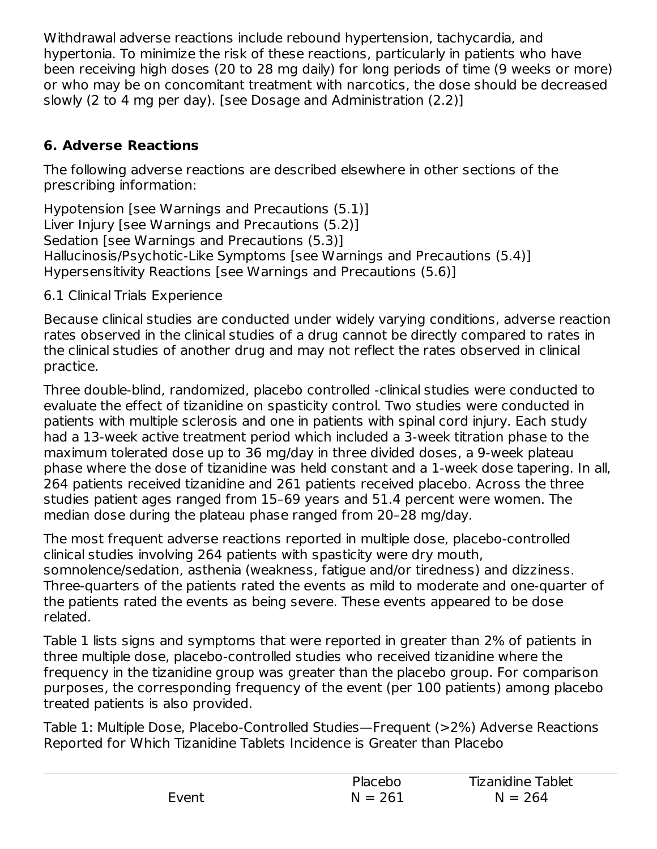Withdrawal adverse reactions include rebound hypertension, tachycardia, and hypertonia. To minimize the risk of these reactions, particularly in patients who have been receiving high doses (20 to 28 mg daily) for long periods of time (9 weeks or more) or who may be on concomitant treatment with narcotics, the dose should be decreased slowly (2 to 4 mg per day). [see Dosage and Administration (2.2)]

# **6. Adverse Reactions**

The following adverse reactions are described elsewhere in other sections of the prescribing information:

Hypotension [see Warnings and Precautions (5.1)] Liver Injury [see Warnings and Precautions (5.2)] Sedation [see Warnings and Precautions (5.3)] Hallucinosis/Psychotic-Like Symptoms [see Warnings and Precautions (5.4)] Hypersensitivity Reactions [see Warnings and Precautions (5.6)]

6.1 Clinical Trials Experience

Because clinical studies are conducted under widely varying conditions, adverse reaction rates observed in the clinical studies of a drug cannot be directly compared to rates in the clinical studies of another drug and may not reflect the rates observed in clinical practice.

Three double-blind, randomized, placebo controlled -clinical studies were conducted to evaluate the effect of tizanidine on spasticity control. Two studies were conducted in patients with multiple sclerosis and one in patients with spinal cord injury. Each study had a 13-week active treatment period which included a 3-week titration phase to the maximum tolerated dose up to 36 mg/day in three divided doses, a 9-week plateau phase where the dose of tizanidine was held constant and a 1-week dose tapering. In all, 264 patients received tizanidine and 261 patients received placebo. Across the three studies patient ages ranged from 15–69 years and 51.4 percent were women. The median dose during the plateau phase ranged from 20–28 mg/day.

The most frequent adverse reactions reported in multiple dose, placebo-controlled clinical studies involving 264 patients with spasticity were dry mouth, somnolence/sedation, asthenia (weakness, fatigue and/or tiredness) and dizziness. Three-quarters of the patients rated the events as mild to moderate and one-quarter of the patients rated the events as being severe. These events appeared to be dose related.

Table 1 lists signs and symptoms that were reported in greater than 2% of patients in three multiple dose, placebo-controlled studies who received tizanidine where the frequency in the tizanidine group was greater than the placebo group. For comparison purposes, the corresponding frequency of the event (per 100 patients) among placebo treated patients is also provided.

Table 1: Multiple Dose, Placebo-Controlled Studies—Frequent (>2%) Adverse Reactions Reported for Which Tizanidine Tablets Incidence is Greater than Placebo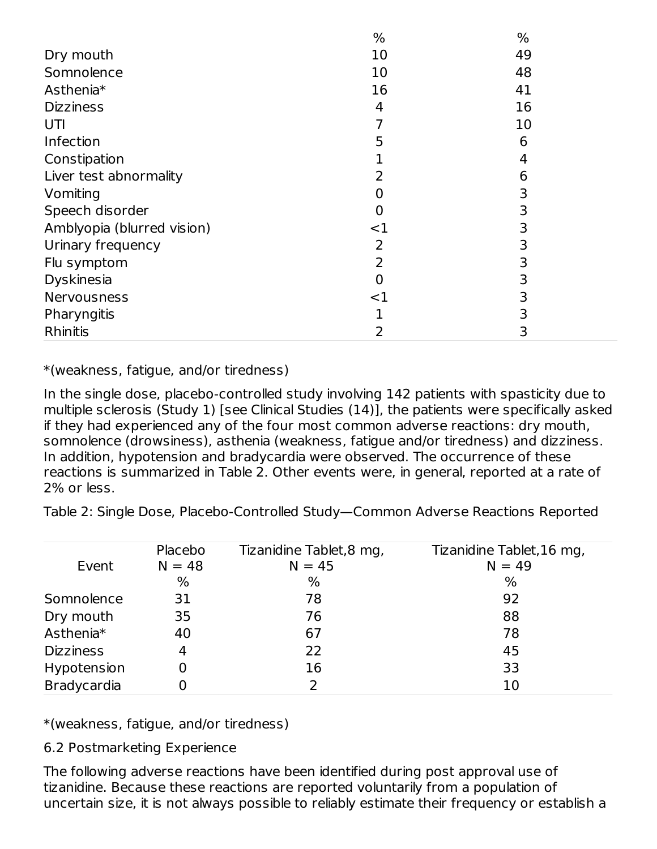|                            | %     | %  |
|----------------------------|-------|----|
| Dry mouth                  | 10    | 49 |
| Somnolence                 | 10    | 48 |
| Asthenia*                  | 16    | 41 |
| <b>Dizziness</b>           | 4     | 16 |
| UTI                        | 7     | 10 |
| Infection                  | 5     | 6  |
| Constipation               |       | 4  |
| Liver test abnormality     | 2     | 6  |
| Vomiting                   | 0     | 3  |
| Speech disorder            | 0     | 3  |
| Amblyopia (blurred vision) | <1    | 3  |
| Urinary frequency          | 2     | 3  |
| Flu symptom                | 2     | 3  |
| Dyskinesia                 | 0     | 3  |
| Nervousness                | $<$ 1 | 3  |
| Pharyngitis                |       | 3  |
| Rhinitis                   | 2     | 3  |

\*(weakness, fatigue, and/or tiredness)

In the single dose, placebo-controlled study involving 142 patients with spasticity due to multiple sclerosis (Study 1) [see Clinical Studies (14)], the patients were specifically asked if they had experienced any of the four most common adverse reactions: dry mouth, somnolence (drowsiness), asthenia (weakness, fatigue and/or tiredness) and dizziness. In addition, hypotension and bradycardia were observed. The occurrence of these reactions is summarized in Table 2. Other events were, in general, reported at a rate of 2% or less.

Table 2: Single Dose, Placebo-Controlled Study—Common Adverse Reactions Reported

|                    | Placebo  | Tizanidine Tablet, 8 mg, | Tizanidine Tablet, 16 mg, |
|--------------------|----------|--------------------------|---------------------------|
| Event              | $N = 48$ | $N = 45$                 | $N = 49$                  |
|                    | %        | $\%$                     | $\%$                      |
| Somnolence         | 31       | 78                       | 92                        |
| Dry mouth          | 35       | 76                       | 88                        |
| Asthenia*          | 40       | 67                       | 78                        |
| <b>Dizziness</b>   | 4        | 22                       | 45                        |
| Hypotension        |          | 16                       | 33                        |
| <b>Bradycardia</b> |          |                          | 10                        |

\*(weakness, fatigue, and/or tiredness)

6.2 Postmarketing Experience

The following adverse reactions have been identified during post approval use of tizanidine. Because these reactions are reported voluntarily from a population of uncertain size, it is not always possible to reliably estimate their frequency or establish a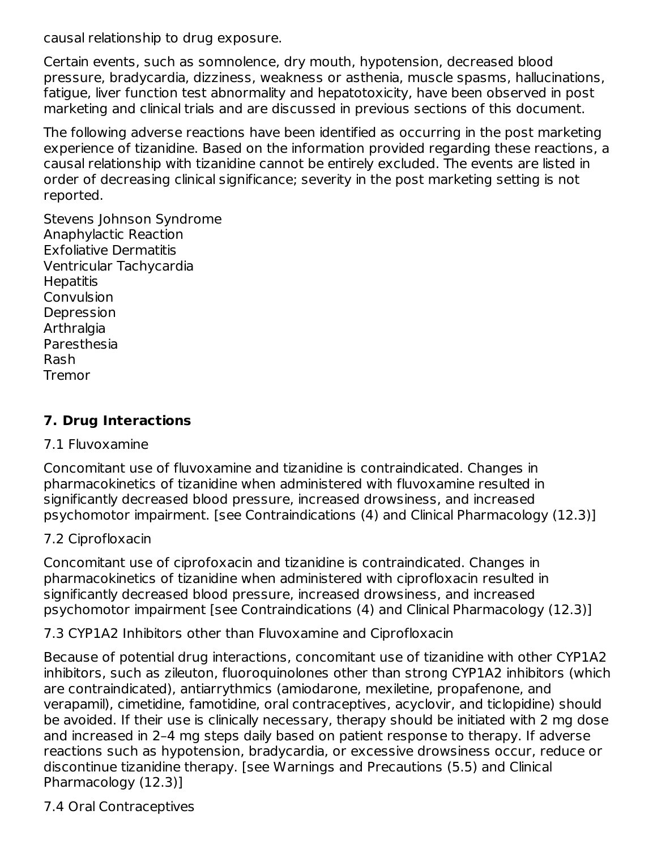causal relationship to drug exposure.

Certain events, such as somnolence, dry mouth, hypotension, decreased blood pressure, bradycardia, dizziness, weakness or asthenia, muscle spasms, hallucinations, fatigue, liver function test abnormality and hepatotoxicity, have been observed in post marketing and clinical trials and are discussed in previous sections of this document.

The following adverse reactions have been identified as occurring in the post marketing experience of tizanidine. Based on the information provided regarding these reactions, a causal relationship with tizanidine cannot be entirely excluded. The events are listed in order of decreasing clinical significance; severity in the post marketing setting is not reported.

Stevens Johnson Syndrome Anaphylactic Reaction Exfoliative Dermatitis Ventricular Tachycardia **Hepatitis** Convulsion Depression **Arthralgia** Paresthesia Rash Tremor

#### **7. Drug Interactions**

#### 7.1 Fluvoxamine

Concomitant use of fluvoxamine and tizanidine is contraindicated. Changes in pharmacokinetics of tizanidine when administered with fluvoxamine resulted in significantly decreased blood pressure, increased drowsiness, and increased psychomotor impairment. [see Contraindications (4) and Clinical Pharmacology (12.3)]

#### 7.2 Ciprofloxacin

Concomitant use of ciprofoxacin and tizanidine is contraindicated. Changes in pharmacokinetics of tizanidine when administered with ciprofloxacin resulted in significantly decreased blood pressure, increased drowsiness, and increased psychomotor impairment [see Contraindications (4) and Clinical Pharmacology (12.3)]

7.3 CYP1A2 Inhibitors other than Fluvoxamine and Ciprofloxacin

Because of potential drug interactions, concomitant use of tizanidine with other CYP1A2 inhibitors, such as zileuton, fluoroquinolones other than strong CYP1A2 inhibitors (which are contraindicated), antiarrythmics (amiodarone, mexiletine, propafenone, and verapamil), cimetidine, famotidine, oral contraceptives, acyclovir, and ticlopidine) should be avoided. If their use is clinically necessary, therapy should be initiated with 2 mg dose and increased in 2–4 mg steps daily based on patient response to therapy. If adverse reactions such as hypotension, bradycardia, or excessive drowsiness occur, reduce or discontinue tizanidine therapy. [see Warnings and Precautions (5.5) and Clinical Pharmacology (12.3)]

7.4 Oral Contraceptives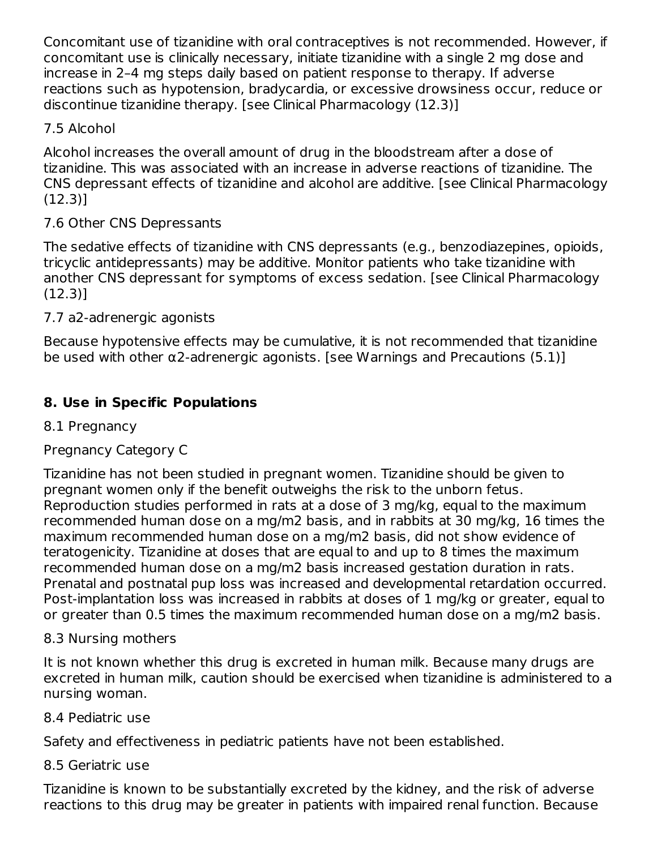Concomitant use of tizanidine with oral contraceptives is not recommended. However, if concomitant use is clinically necessary, initiate tizanidine with a single 2 mg dose and increase in 2–4 mg steps daily based on patient response to therapy. If adverse reactions such as hypotension, bradycardia, or excessive drowsiness occur, reduce or discontinue tizanidine therapy. [see Clinical Pharmacology (12.3)]

# 7.5 Alcohol

Alcohol increases the overall amount of drug in the bloodstream after a dose of tizanidine. This was associated with an increase in adverse reactions of tizanidine. The CNS depressant effects of tizanidine and alcohol are additive. [see Clinical Pharmacology (12.3)]

# 7.6 Other CNS Depressants

The sedative effects of tizanidine with CNS depressants (e.g., benzodiazepines, opioids, tricyclic antidepressants) may be additive. Monitor patients who take tizanidine with another CNS depressant for symptoms of excess sedation. [see Clinical Pharmacology (12.3)]

# 7.7 a2-adrenergic agonists

Because hypotensive effects may be cumulative, it is not recommended that tizanidine be used with other  $\alpha$ 2-adrenergic agonists. [see Warnings and Precautions (5.1)]

# **8. Use in Specific Populations**

# 8.1 Pregnancy

# Pregnancy Category C

Tizanidine has not been studied in pregnant women. Tizanidine should be given to pregnant women only if the benefit outweighs the risk to the unborn fetus. Reproduction studies performed in rats at a dose of 3 mg/kg, equal to the maximum recommended human dose on a mg/m2 basis, and in rabbits at 30 mg/kg, 16 times the maximum recommended human dose on a mg/m2 basis, did not show evidence of teratogenicity. Tizanidine at doses that are equal to and up to 8 times the maximum recommended human dose on a mg/m2 basis increased gestation duration in rats. Prenatal and postnatal pup loss was increased and developmental retardation occurred. Post-implantation loss was increased in rabbits at doses of 1 mg/kg or greater, equal to or greater than 0.5 times the maximum recommended human dose on a mg/m2 basis.

## 8.3 Nursing mothers

It is not known whether this drug is excreted in human milk. Because many drugs are excreted in human milk, caution should be exercised when tizanidine is administered to a nursing woman.

## 8.4 Pediatric use

Safety and effectiveness in pediatric patients have not been established.

## 8.5 Geriatric use

Tizanidine is known to be substantially excreted by the kidney, and the risk of adverse reactions to this drug may be greater in patients with impaired renal function. Because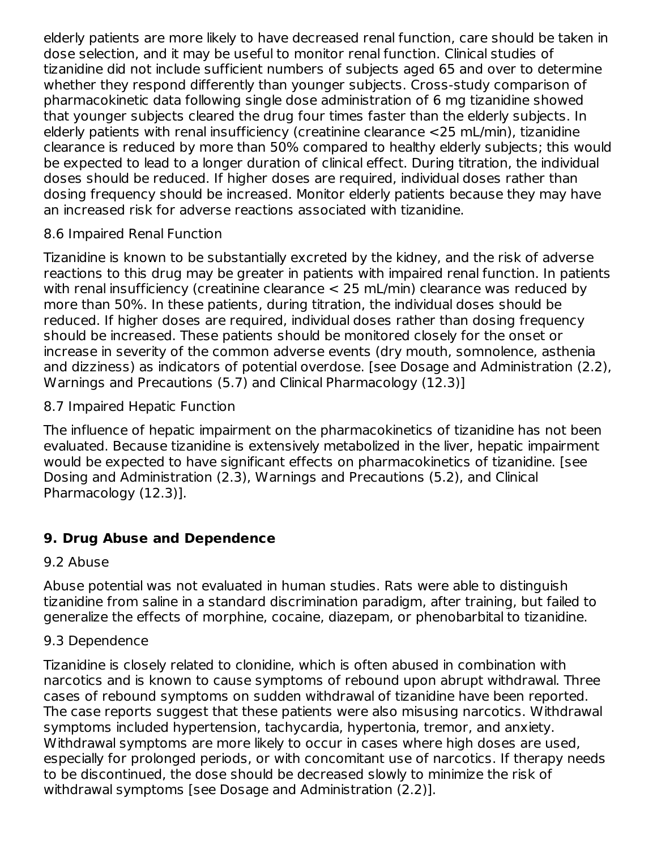elderly patients are more likely to have decreased renal function, care should be taken in dose selection, and it may be useful to monitor renal function. Clinical studies of tizanidine did not include sufficient numbers of subjects aged 65 and over to determine whether they respond differently than younger subjects. Cross-study comparison of pharmacokinetic data following single dose administration of 6 mg tizanidine showed that younger subjects cleared the drug four times faster than the elderly subjects. In elderly patients with renal insufficiency (creatinine clearance <25 mL/min), tizanidine clearance is reduced by more than 50% compared to healthy elderly subjects; this would be expected to lead to a longer duration of clinical effect. During titration, the individual doses should be reduced. If higher doses are required, individual doses rather than dosing frequency should be increased. Monitor elderly patients because they may have an increased risk for adverse reactions associated with tizanidine.

## 8.6 Impaired Renal Function

Tizanidine is known to be substantially excreted by the kidney, and the risk of adverse reactions to this drug may be greater in patients with impaired renal function. In patients with renal insufficiency (creatinine clearance < 25 mL/min) clearance was reduced by more than 50%. In these patients, during titration, the individual doses should be reduced. If higher doses are required, individual doses rather than dosing frequency should be increased. These patients should be monitored closely for the onset or increase in severity of the common adverse events (dry mouth, somnolence, asthenia and dizziness) as indicators of potential overdose. [see Dosage and Administration (2.2), Warnings and Precautions (5.7) and Clinical Pharmacology (12.3)]

8.7 Impaired Hepatic Function

The influence of hepatic impairment on the pharmacokinetics of tizanidine has not been evaluated. Because tizanidine is extensively metabolized in the liver, hepatic impairment would be expected to have significant effects on pharmacokinetics of tizanidine. [see Dosing and Administration (2.3), Warnings and Precautions (5.2), and Clinical Pharmacology (12.3)].

# **9. Drug Abuse and Dependence**

## 9.2 Abuse

Abuse potential was not evaluated in human studies. Rats were able to distinguish tizanidine from saline in a standard discrimination paradigm, after training, but failed to generalize the effects of morphine, cocaine, diazepam, or phenobarbital to tizanidine.

#### 9.3 Dependence

Tizanidine is closely related to clonidine, which is often abused in combination with narcotics and is known to cause symptoms of rebound upon abrupt withdrawal. Three cases of rebound symptoms on sudden withdrawal of tizanidine have been reported. The case reports suggest that these patients were also misusing narcotics. Withdrawal symptoms included hypertension, tachycardia, hypertonia, tremor, and anxiety. Withdrawal symptoms are more likely to occur in cases where high doses are used, especially for prolonged periods, or with concomitant use of narcotics. If therapy needs to be discontinued, the dose should be decreased slowly to minimize the risk of withdrawal symptoms [see Dosage and Administration (2.2)].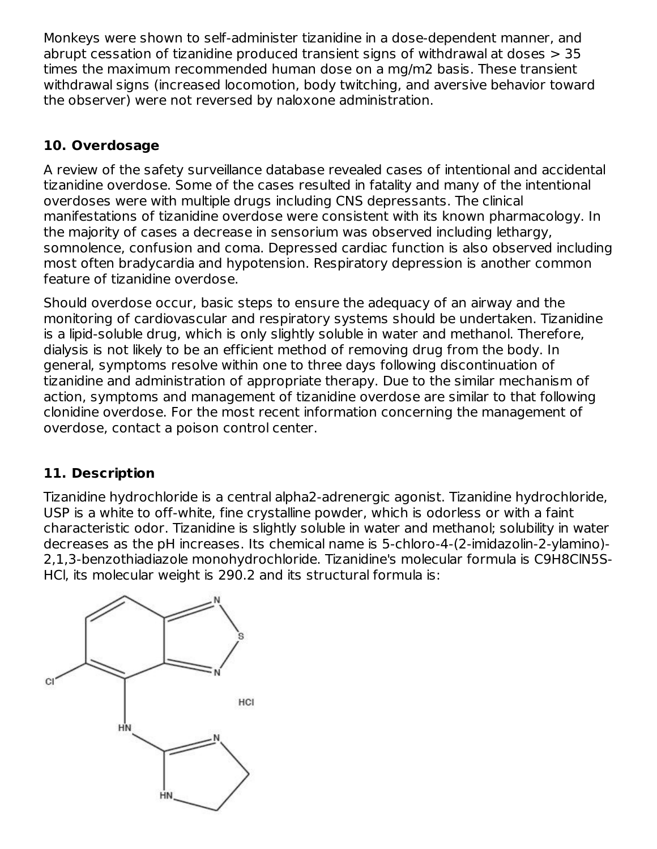Monkeys were shown to self-administer tizanidine in a dose-dependent manner, and abrupt cessation of tizanidine produced transient signs of withdrawal at doses > 35 times the maximum recommended human dose on a mg/m2 basis. These transient withdrawal signs (increased locomotion, body twitching, and aversive behavior toward the observer) were not reversed by naloxone administration.

# **10. Overdosage**

A review of the safety surveillance database revealed cases of intentional and accidental tizanidine overdose. Some of the cases resulted in fatality and many of the intentional overdoses were with multiple drugs including CNS depressants. The clinical manifestations of tizanidine overdose were consistent with its known pharmacology. In the majority of cases a decrease in sensorium was observed including lethargy, somnolence, confusion and coma. Depressed cardiac function is also observed including most often bradycardia and hypotension. Respiratory depression is another common feature of tizanidine overdose.

Should overdose occur, basic steps to ensure the adequacy of an airway and the monitoring of cardiovascular and respiratory systems should be undertaken. Tizanidine is a lipid-soluble drug, which is only slightly soluble in water and methanol. Therefore, dialysis is not likely to be an efficient method of removing drug from the body. In general, symptoms resolve within one to three days following discontinuation of tizanidine and administration of appropriate therapy. Due to the similar mechanism of action, symptoms and management of tizanidine overdose are similar to that following clonidine overdose. For the most recent information concerning the management of overdose, contact a poison control center.

## **11. Description**

Tizanidine hydrochloride is a central alpha2-adrenergic agonist. Tizanidine hydrochloride, USP is a white to off-white, fine crystalline powder, which is odorless or with a faint characteristic odor. Tizanidine is slightly soluble in water and methanol; solubility in water decreases as the pH increases. Its chemical name is 5-chloro-4-(2-imidazolin-2-ylamino)- 2,1,3-benzothiadiazole monohydrochloride. Tizanidine's molecular formula is C9H8ClN5S-HCl, its molecular weight is 290.2 and its structural formula is:

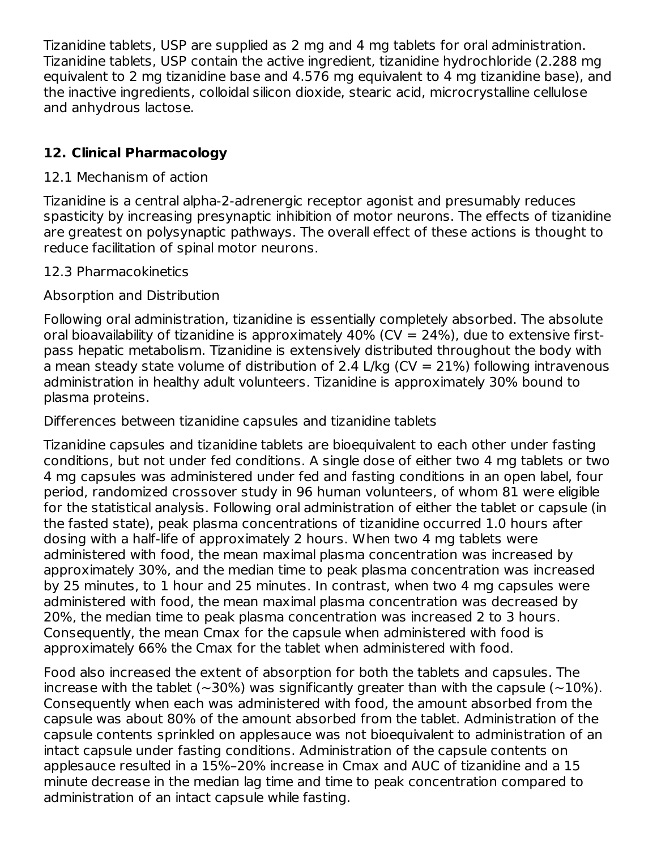Tizanidine tablets, USP are supplied as 2 mg and 4 mg tablets for oral administration. Tizanidine tablets, USP contain the active ingredient, tizanidine hydrochloride (2.288 mg equivalent to 2 mg tizanidine base and 4.576 mg equivalent to 4 mg tizanidine base), and the inactive ingredients, colloidal silicon dioxide, stearic acid, microcrystalline cellulose and anhydrous lactose.

# **12. Clinical Pharmacology**

#### 12.1 Mechanism of action

Tizanidine is a central alpha-2-adrenergic receptor agonist and presumably reduces spasticity by increasing presynaptic inhibition of motor neurons. The effects of tizanidine are greatest on polysynaptic pathways. The overall effect of these actions is thought to reduce facilitation of spinal motor neurons.

#### 12.3 Pharmacokinetics

#### Absorption and Distribution

Following oral administration, tizanidine is essentially completely absorbed. The absolute oral bioavailability of tizanidine is approximately  $40\%$  (CV = 24%), due to extensive firstpass hepatic metabolism. Tizanidine is extensively distributed throughout the body with a mean steady state volume of distribution of 2.4 L/kg ( $CV = 21\%$ ) following intravenous administration in healthy adult volunteers. Tizanidine is approximately 30% bound to plasma proteins.

Differences between tizanidine capsules and tizanidine tablets

Tizanidine capsules and tizanidine tablets are bioequivalent to each other under fasting conditions, but not under fed conditions. A single dose of either two 4 mg tablets or two 4 mg capsules was administered under fed and fasting conditions in an open label, four period, randomized crossover study in 96 human volunteers, of whom 81 were eligible for the statistical analysis. Following oral administration of either the tablet or capsule (in the fasted state), peak plasma concentrations of tizanidine occurred 1.0 hours after dosing with a half-life of approximately 2 hours. When two 4 mg tablets were administered with food, the mean maximal plasma concentration was increased by approximately 30%, and the median time to peak plasma concentration was increased by 25 minutes, to 1 hour and 25 minutes. In contrast, when two 4 mg capsules were administered with food, the mean maximal plasma concentration was decreased by 20%, the median time to peak plasma concentration was increased 2 to 3 hours. Consequently, the mean Cmax for the capsule when administered with food is approximately 66% the Cmax for the tablet when administered with food.

Food also increased the extent of absorption for both the tablets and capsules. The increase with the tablet ( $\sim$ 30%) was significantly greater than with the capsule ( $\sim$ 10%). Consequently when each was administered with food, the amount absorbed from the capsule was about 80% of the amount absorbed from the tablet. Administration of the capsule contents sprinkled on applesauce was not bioequivalent to administration of an intact capsule under fasting conditions. Administration of the capsule contents on applesauce resulted in a 15%–20% increase in Cmax and AUC of tizanidine and a 15 minute decrease in the median lag time and time to peak concentration compared to administration of an intact capsule while fasting.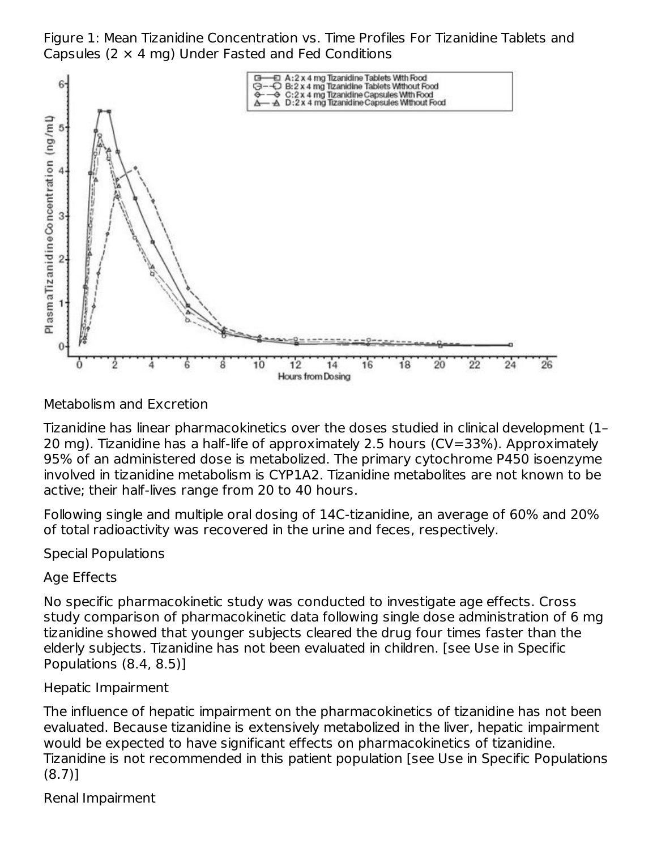Figure 1: Mean Tizanidine Concentration vs. Time Profiles For Tizanidine Tablets and Capsules ( $2 \times 4$  mg) Under Fasted and Fed Conditions



Metabolism and Excretion

Tizanidine has linear pharmacokinetics over the doses studied in clinical development (1– 20 mg). Tizanidine has a half-life of approximately 2.5 hours (CV=33%). Approximately 95% of an administered dose is metabolized. The primary cytochrome P450 isoenzyme involved in tizanidine metabolism is CYP1A2. Tizanidine metabolites are not known to be active; their half-lives range from 20 to 40 hours.

Following single and multiple oral dosing of 14C-tizanidine, an average of 60% and 20% of total radioactivity was recovered in the urine and feces, respectively.

Special Populations

Age Effects

No specific pharmacokinetic study was conducted to investigate age effects. Cross study comparison of pharmacokinetic data following single dose administration of 6 mg tizanidine showed that younger subjects cleared the drug four times faster than the elderly subjects. Tizanidine has not been evaluated in children. [see Use in Specific Populations (8.4, 8.5)]

Hepatic Impairment

The influence of hepatic impairment on the pharmacokinetics of tizanidine has not been evaluated. Because tizanidine is extensively metabolized in the liver, hepatic impairment would be expected to have significant effects on pharmacokinetics of tizanidine. Tizanidine is not recommended in this patient population [see Use in Specific Populations (8.7)]

Renal Impairment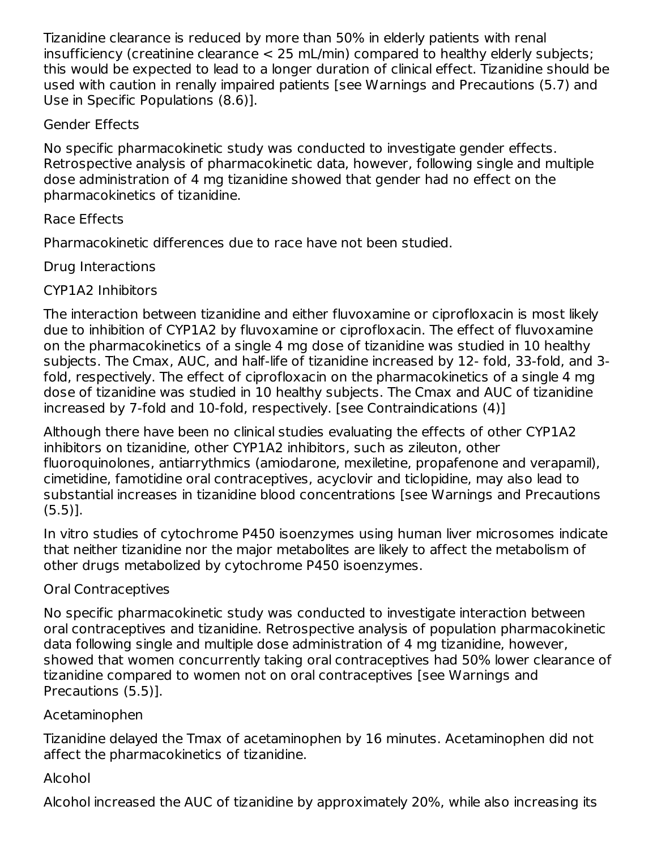Tizanidine clearance is reduced by more than 50% in elderly patients with renal insufficiency (creatinine clearance < 25 mL/min) compared to healthy elderly subjects; this would be expected to lead to a longer duration of clinical effect. Tizanidine should be used with caution in renally impaired patients [see Warnings and Precautions (5.7) and Use in Specific Populations (8.6)].

## Gender Effects

No specific pharmacokinetic study was conducted to investigate gender effects. Retrospective analysis of pharmacokinetic data, however, following single and multiple dose administration of 4 mg tizanidine showed that gender had no effect on the pharmacokinetics of tizanidine.

# Race Effects

Pharmacokinetic differences due to race have not been studied.

# Drug Interactions

# CYP1A2 Inhibitors

The interaction between tizanidine and either fluvoxamine or ciprofloxacin is most likely due to inhibition of CYP1A2 by fluvoxamine or ciprofloxacin. The effect of fluvoxamine on the pharmacokinetics of a single 4 mg dose of tizanidine was studied in 10 healthy subjects. The Cmax, AUC, and half-life of tizanidine increased by 12- fold, 33-fold, and 3 fold, respectively. The effect of ciprofloxacin on the pharmacokinetics of a single 4 mg dose of tizanidine was studied in 10 healthy subjects. The Cmax and AUC of tizanidine increased by 7-fold and 10-fold, respectively. [see Contraindications (4)]

Although there have been no clinical studies evaluating the effects of other CYP1A2 inhibitors on tizanidine, other CYP1A2 inhibitors, such as zileuton, other fluoroquinolones, antiarrythmics (amiodarone, mexiletine, propafenone and verapamil), cimetidine, famotidine oral contraceptives, acyclovir and ticlopidine, may also lead to substantial increases in tizanidine blood concentrations [see Warnings and Precautions (5.5)].

In vitro studies of cytochrome P450 isoenzymes using human liver microsomes indicate that neither tizanidine nor the major metabolites are likely to affect the metabolism of other drugs metabolized by cytochrome P450 isoenzymes.

# Oral Contraceptives

No specific pharmacokinetic study was conducted to investigate interaction between oral contraceptives and tizanidine. Retrospective analysis of population pharmacokinetic data following single and multiple dose administration of 4 mg tizanidine, however, showed that women concurrently taking oral contraceptives had 50% lower clearance of tizanidine compared to women not on oral contraceptives [see Warnings and Precautions (5.5)].

# Acetaminophen

Tizanidine delayed the Tmax of acetaminophen by 16 minutes. Acetaminophen did not affect the pharmacokinetics of tizanidine.

# Alcohol

Alcohol increased the AUC of tizanidine by approximately 20%, while also increasing its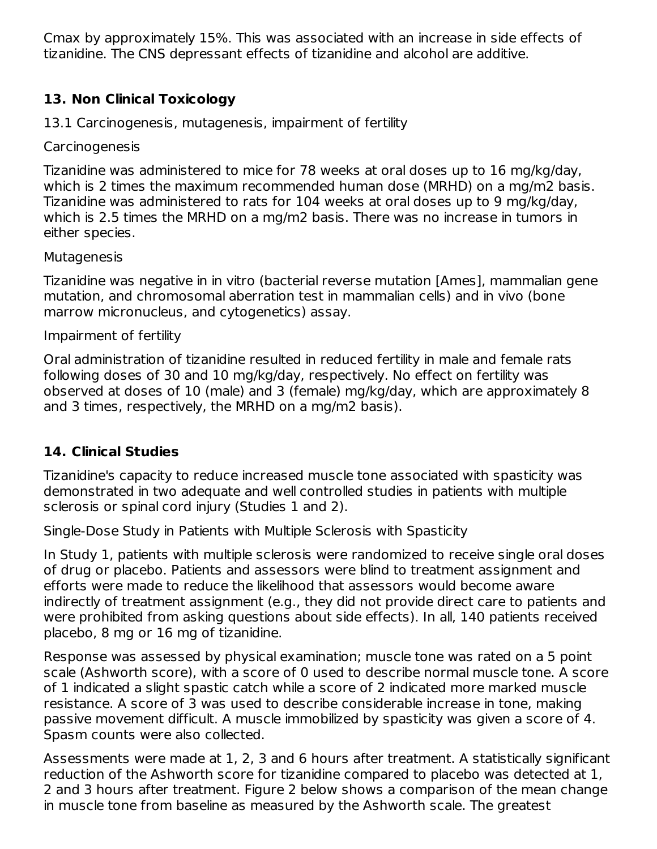Cmax by approximately 15%. This was associated with an increase in side effects of tizanidine. The CNS depressant effects of tizanidine and alcohol are additive.

# **13. Non Clinical Toxicology**

13.1 Carcinogenesis, mutagenesis, impairment of fertility

Carcinogenesis

Tizanidine was administered to mice for 78 weeks at oral doses up to 16 mg/kg/day, which is 2 times the maximum recommended human dose (MRHD) on a mg/m2 basis. Tizanidine was administered to rats for 104 weeks at oral doses up to 9 mg/kg/day, which is 2.5 times the MRHD on a mg/m2 basis. There was no increase in tumors in either species.

#### **Mutagenesis**

Tizanidine was negative in in vitro (bacterial reverse mutation [Ames], mammalian gene mutation, and chromosomal aberration test in mammalian cells) and in vivo (bone marrow micronucleus, and cytogenetics) assay.

#### Impairment of fertility

Oral administration of tizanidine resulted in reduced fertility in male and female rats following doses of 30 and 10 mg/kg/day, respectively. No effect on fertility was observed at doses of 10 (male) and 3 (female) mg/kg/day, which are approximately 8 and 3 times, respectively, the MRHD on a mg/m2 basis).

#### **14. Clinical Studies**

Tizanidine's capacity to reduce increased muscle tone associated with spasticity was demonstrated in two adequate and well controlled studies in patients with multiple sclerosis or spinal cord injury (Studies 1 and 2).

Single-Dose Study in Patients with Multiple Sclerosis with Spasticity

In Study 1, patients with multiple sclerosis were randomized to receive single oral doses of drug or placebo. Patients and assessors were blind to treatment assignment and efforts were made to reduce the likelihood that assessors would become aware indirectly of treatment assignment (e.g., they did not provide direct care to patients and were prohibited from asking questions about side effects). In all, 140 patients received placebo, 8 mg or 16 mg of tizanidine.

Response was assessed by physical examination; muscle tone was rated on a 5 point scale (Ashworth score), with a score of 0 used to describe normal muscle tone. A score of 1 indicated a slight spastic catch while a score of 2 indicated more marked muscle resistance. A score of 3 was used to describe considerable increase in tone, making passive movement difficult. A muscle immobilized by spasticity was given a score of 4. Spasm counts were also collected.

Assessments were made at 1, 2, 3 and 6 hours after treatment. A statistically significant reduction of the Ashworth score for tizanidine compared to placebo was detected at 1, 2 and 3 hours after treatment. Figure 2 below shows a comparison of the mean change in muscle tone from baseline as measured by the Ashworth scale. The greatest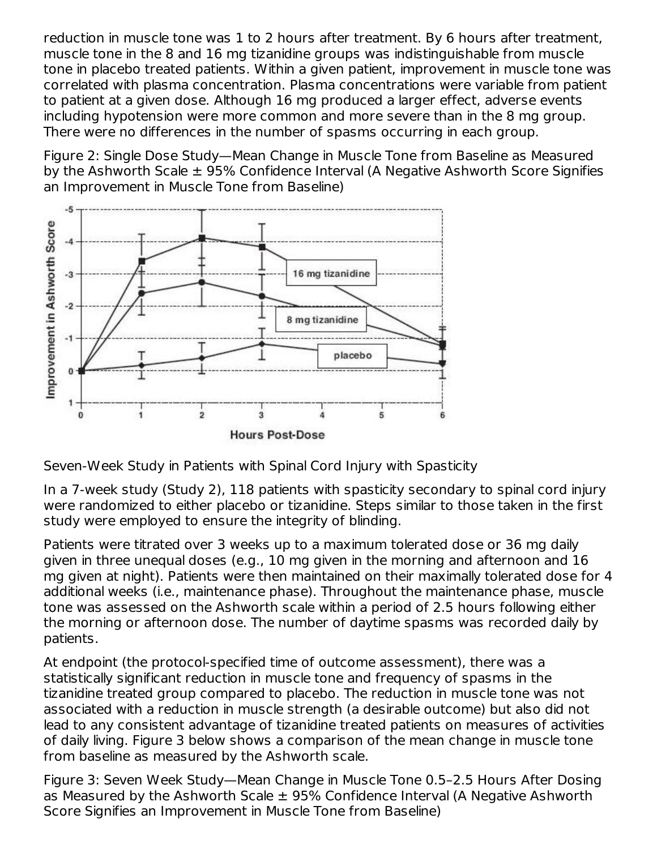reduction in muscle tone was 1 to 2 hours after treatment. By 6 hours after treatment, muscle tone in the 8 and 16 mg tizanidine groups was indistinguishable from muscle tone in placebo treated patients. Within a given patient, improvement in muscle tone was correlated with plasma concentration. Plasma concentrations were variable from patient to patient at a given dose. Although 16 mg produced a larger effect, adverse events including hypotension were more common and more severe than in the 8 mg group. There were no differences in the number of spasms occurring in each group.

Figure 2: Single Dose Study—Mean Change in Muscle Tone from Baseline as Measured by the Ashworth Scale  $\pm$  95% Confidence Interval (A Negative Ashworth Score Signifies an Improvement in Muscle Tone from Baseline)



Seven-Week Study in Patients with Spinal Cord Injury with Spasticity

In a 7-week study (Study 2), 118 patients with spasticity secondary to spinal cord injury were randomized to either placebo or tizanidine. Steps similar to those taken in the first study were employed to ensure the integrity of blinding.

Patients were titrated over 3 weeks up to a maximum tolerated dose or 36 mg daily given in three unequal doses (e.g., 10 mg given in the morning and afternoon and 16 mg given at night). Patients were then maintained on their maximally tolerated dose for 4 additional weeks (i.e., maintenance phase). Throughout the maintenance phase, muscle tone was assessed on the Ashworth scale within a period of 2.5 hours following either the morning or afternoon dose. The number of daytime spasms was recorded daily by patients.

At endpoint (the protocol-specified time of outcome assessment), there was a statistically significant reduction in muscle tone and frequency of spasms in the tizanidine treated group compared to placebo. The reduction in muscle tone was not associated with a reduction in muscle strength (a desirable outcome) but also did not lead to any consistent advantage of tizanidine treated patients on measures of activities of daily living. Figure 3 below shows a comparison of the mean change in muscle tone from baseline as measured by the Ashworth scale.

Figure 3: Seven Week Study—Mean Change in Muscle Tone 0.5–2.5 Hours After Dosing as Measured by the Ashworth Scale  $\pm$  95% Confidence Interval (A Negative Ashworth Score Signifies an Improvement in Muscle Tone from Baseline)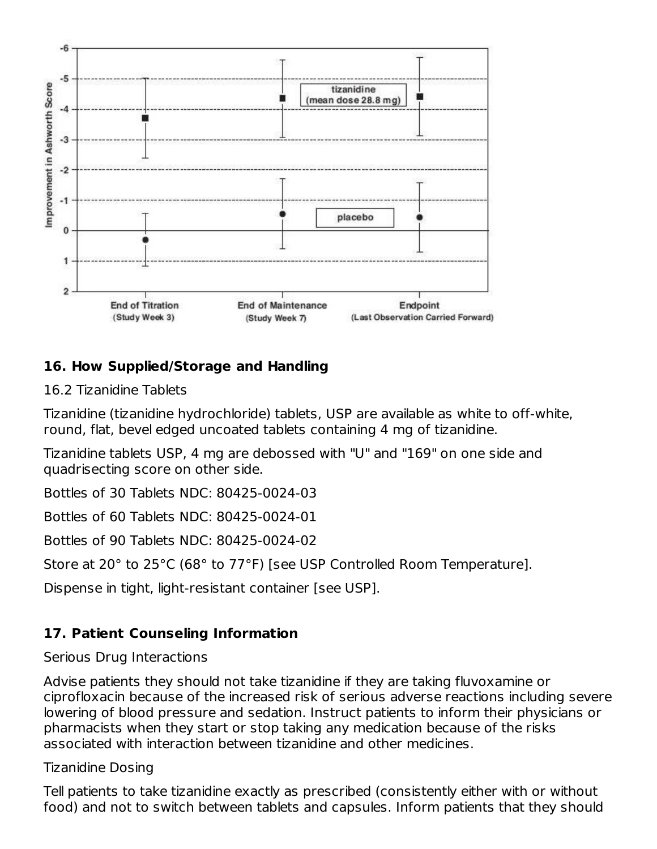

# **16. How Supplied/Storage and Handling**

16.2 Tizanidine Tablets

Tizanidine (tizanidine hydrochloride) tablets, USP are available as white to off-white, round, flat, bevel edged uncoated tablets containing 4 mg of tizanidine.

Tizanidine tablets USP, 4 mg are debossed with "U" and "169" on one side and quadrisecting score on other side.

Bottles of 30 Tablets NDC: 80425-0024-03

Bottles of 60 Tablets NDC: 80425-0024-01

Bottles of 90 Tablets NDC: 80425-0024-02

Store at 20° to 25°C (68° to 77°F) [see USP Controlled Room Temperature].

Dispense in tight, light-resistant container [see USP].

## **17. Patient Counseling Information**

#### Serious Drug Interactions

Advise patients they should not take tizanidine if they are taking fluvoxamine or ciprofloxacin because of the increased risk of serious adverse reactions including severe lowering of blood pressure and sedation. Instruct patients to inform their physicians or pharmacists when they start or stop taking any medication because of the risks associated with interaction between tizanidine and other medicines.

#### Tizanidine Dosing

Tell patients to take tizanidine exactly as prescribed (consistently either with or without food) and not to switch between tablets and capsules. Inform patients that they should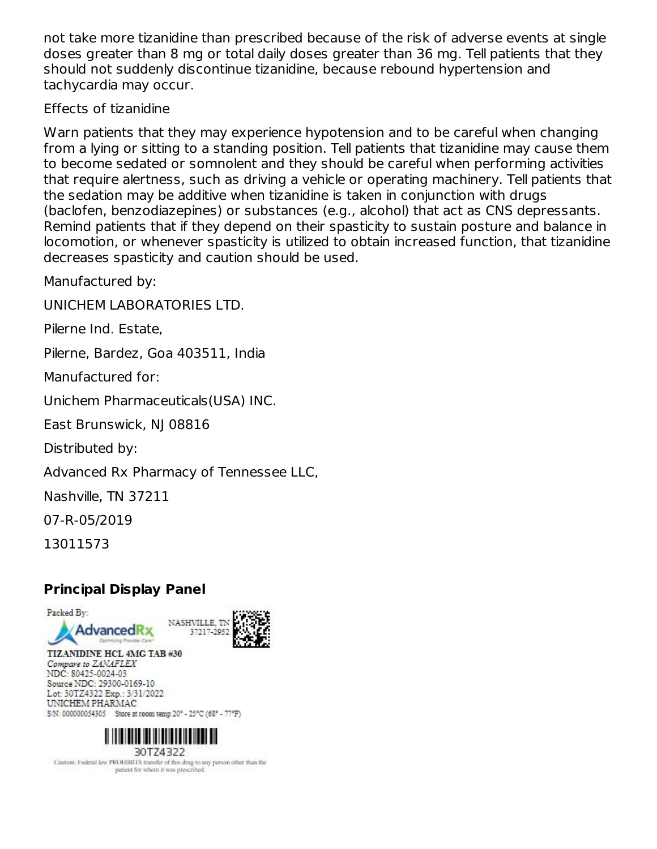not take more tizanidine than prescribed because of the risk of adverse events at single doses greater than 8 mg or total daily doses greater than 36 mg. Tell patients that they should not suddenly discontinue tizanidine, because rebound hypertension and tachycardia may occur.

Effects of tizanidine

Warn patients that they may experience hypotension and to be careful when changing from a lying or sitting to a standing position. Tell patients that tizanidine may cause them to become sedated or somnolent and they should be careful when performing activities that require alertness, such as driving a vehicle or operating machinery. Tell patients that the sedation may be additive when tizanidine is taken in conjunction with drugs (baclofen, benzodiazepines) or substances (e.g., alcohol) that act as CNS depressants. Remind patients that if they depend on their spasticity to sustain posture and balance in locomotion, or whenever spasticity is utilized to obtain increased function, that tizanidine decreases spasticity and caution should be used.

Manufactured by:

UNICHEM LABORATORIES LTD.

Pilerne Ind. Estate,

Pilerne, Bardez, Goa 403511, India

Manufactured for:

Unichem Pharmaceuticals(USA) INC.

East Brunswick, NJ 08816

Distributed by:

Advanced Rx Pharmacy of Tennessee LLC,

Nashville, TN 37211

07-R-05/2019

13011573

## **Principal Display Panel**





TIZANIDINE HCL 4MG TAB #30 Compare to ZANAFLEX NDC: 80425-0024-03 Source NDC: 29300-0169-10 Lot: 30TZ4322 Exp.: 3/31/2022 UNICHEM PHARMAC S/N: 000000054305 Store at room temp 20° - 25°C (68° - 77°F)



Caution: Federal law PROHIBITS transfer of this drug to any person other than the patient for whom it was prescribed.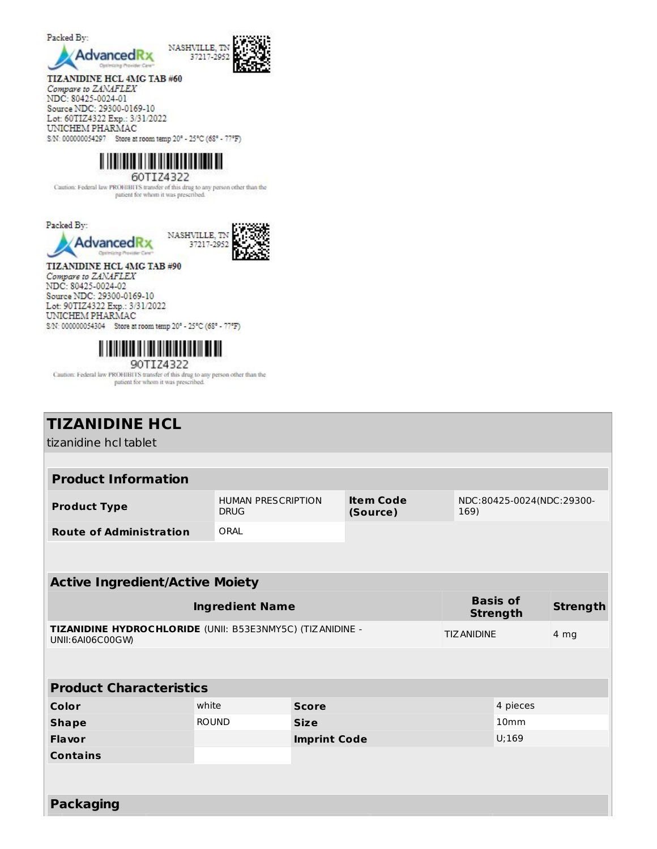

TIZANIDINE HCL 4MG TAB #60

Compare to ZANAFLEX NDC: 80425-0024-01 Source NDC: 29300-0169-10<br>Lot: 60TIZ4322 Exp.: 3/31/2022 UNICHEM PHARMAC S/N: 000000054297 Store at room temp 20° - 25°C (68° - 77°F)



60TIZ4322

Caution: Federal law PROHIBITS transfer of this drug to any person other than the patient for whom it was prescribed.



TIZANIDINE HCL 4MG TAB #90 Compare to ZANAFLEX NDC: 80425-0024-02 Source NDC: 29300-0169-10 Lot: 90TIZ4322 Exp.: 3/31/2022 UNICHEM PHARMAC S.N: 000000054304 Store at room temp 20° - 25°C (68° - 77°F)



Caution: Federal law PROHIBITS transfer of this drug to any person other than the patient for whom it was prescribed.

| <b>TIZANIDINE HCL</b>                                                         |              |                                                                   |                    |                                    |                           |      |
|-------------------------------------------------------------------------------|--------------|-------------------------------------------------------------------|--------------------|------------------------------------|---------------------------|------|
| tizanidine hcl tablet                                                         |              |                                                                   |                    |                                    |                           |      |
|                                                                               |              |                                                                   |                    |                                    |                           |      |
| <b>Product Information</b>                                                    |              |                                                                   |                    |                                    |                           |      |
| <b>Product Type</b>                                                           | <b>DRUG</b>  | <b>Item Code</b><br><b>HUMAN PRESCRIPTION</b><br>(Source)<br>169) |                    |                                    | NDC:80425-0024(NDC:29300- |      |
| <b>Route of Administration</b>                                                | ORAL         |                                                                   |                    |                                    |                           |      |
|                                                                               |              |                                                                   |                    |                                    |                           |      |
|                                                                               |              |                                                                   |                    |                                    |                           |      |
| <b>Active Ingredient/Active Moiety</b>                                        |              |                                                                   |                    |                                    |                           |      |
| <b>Ingredient Name</b>                                                        |              |                                                                   |                    | <b>Basis of</b><br><b>Strength</b> | <b>Strength</b>           |      |
| TIZANIDINE HYDROCHLORIDE (UNII: B53E3NMY5C) (TIZANIDINE -<br>UNII:6AI06C00GW) |              |                                                                   | <b>TIZ ANIDINE</b> |                                    |                           | 4 mg |
|                                                                               |              |                                                                   |                    |                                    |                           |      |
| <b>Product Characteristics</b>                                                |              |                                                                   |                    |                                    |                           |      |
| Color                                                                         | white        | <b>Score</b>                                                      |                    | 4 pieces                           |                           |      |
| <b>Shape</b>                                                                  | <b>ROUND</b> | <b>Size</b>                                                       |                    | 10 <sub>mm</sub>                   |                           |      |
| Flavor                                                                        |              | <b>Imprint Code</b>                                               |                    |                                    | U;169                     |      |
| <b>Contains</b>                                                               |              |                                                                   |                    |                                    |                           |      |
|                                                                               |              |                                                                   |                    |                                    |                           |      |
| <b>Packaging</b>                                                              |              |                                                                   |                    |                                    |                           |      |
|                                                                               |              |                                                                   |                    |                                    |                           |      |